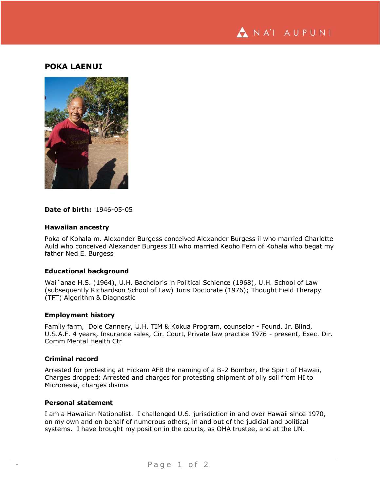

# **POKA LAENUI**



#### **Date of birth:** 1946-05-05

#### **Hawaiian ancestry**

Poka of Kohala m. Alexander Burgess conceived Alexander Burgess ii who married Charlotte Auld who conceived Alexander Burgess III who married Keoho Fern of Kohala who begat my father Ned E. Burgess

# **Educational background**

Wai`anae H.S. (1964), U.H. Bachelor's in Political Schience (1968), U.H. School of Law (subsequently Richardson School of Law) Juris Doctorate (1976); Thought Field Therapy (TFT) Algorithm & Diagnostic

#### **Employment history**

Family farm, Dole Cannery, U.H. TIM & Kokua Program, counselor - Found. Jr. Blind, U.S.A.F. 4 years, Insurance sales, Cir. Court, Private law practice 1976 - present, Exec. Dir. Comm Mental Health Ctr

## **Criminal record**

Arrested for protesting at Hickam AFB the naming of a B-2 Bomber, the Spirit of Hawaii, Charges dropped; Arrested and charges for protesting shipment of oily soil from HI to Micronesia, charges dismis

#### **Personal statement**

I am a Hawaiian Nationalist. I challenged U.S. jurisdiction in and over Hawaii since 1970, on my own and on behalf of numerous others, in and out of the judicial and political systems. I have brought my position in the courts, as OHA trustee, and at the UN.